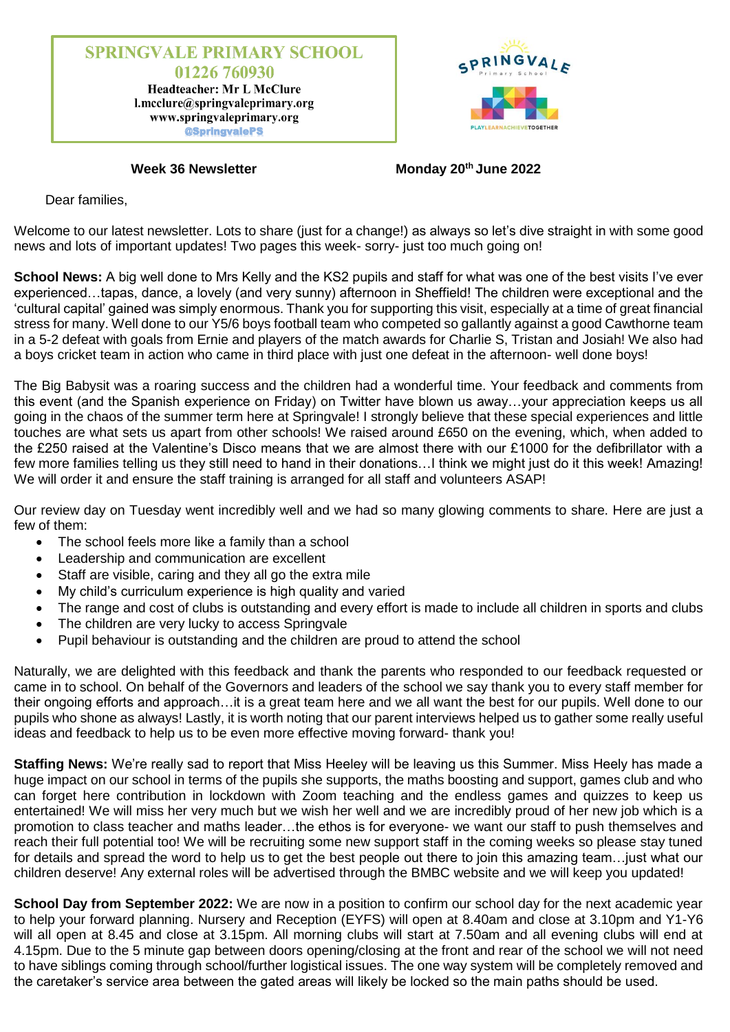



**Week 36 Newsletter Monday 20th June 2022**

Dear families,

Welcome to our latest newsletter. Lots to share (just for a change!) as always so let's dive straight in with some good news and lots of important updates! Two pages this week- sorry- just too much going on!

**School News:** A big well done to Mrs Kelly and the KS2 pupils and staff for what was one of the best visits I've ever experienced…tapas, dance, a lovely (and very sunny) afternoon in Sheffield! The children were exceptional and the 'cultural capital' gained was simply enormous. Thank you for supporting this visit, especially at a time of great financial stress for many. Well done to our Y5/6 boys football team who competed so gallantly against a good Cawthorne team in a 5-2 defeat with goals from Ernie and players of the match awards for Charlie S, Tristan and Josiah! We also had a boys cricket team in action who came in third place with just one defeat in the afternoon- well done boys!

The Big Babysit was a roaring success and the children had a wonderful time. Your feedback and comments from this event (and the Spanish experience on Friday) on Twitter have blown us away…your appreciation keeps us all going in the chaos of the summer term here at Springvale! I strongly believe that these special experiences and little touches are what sets us apart from other schools! We raised around £650 on the evening, which, when added to the £250 raised at the Valentine's Disco means that we are almost there with our £1000 for the defibrillator with a few more families telling us they still need to hand in their donations…I think we might just do it this week! Amazing! We will order it and ensure the staff training is arranged for all staff and volunteers ASAP!

Our review day on Tuesday went incredibly well and we had so many glowing comments to share. Here are just a few of them:

- The school feels more like a family than a school
- Leadership and communication are excellent
- Staff are visible, caring and they all go the extra mile
- My child's curriculum experience is high quality and varied
- The range and cost of clubs is outstanding and every effort is made to include all children in sports and clubs
- The children are very lucky to access Springvale
- Pupil behaviour is outstanding and the children are proud to attend the school

Naturally, we are delighted with this feedback and thank the parents who responded to our feedback requested or came in to school. On behalf of the Governors and leaders of the school we say thank you to every staff member for their ongoing efforts and approach…it is a great team here and we all want the best for our pupils. Well done to our pupils who shone as always! Lastly, it is worth noting that our parent interviews helped us to gather some really useful ideas and feedback to help us to be even more effective moving forward- thank you!

**Staffing News:** We're really sad to report that Miss Heeley will be leaving us this Summer. Miss Heely has made a huge impact on our school in terms of the pupils she supports, the maths boosting and support, games club and who can forget here contribution in lockdown with Zoom teaching and the endless games and quizzes to keep us entertained! We will miss her very much but we wish her well and we are incredibly proud of her new job which is a promotion to class teacher and maths leader…the ethos is for everyone- we want our staff to push themselves and reach their full potential too! We will be recruiting some new support staff in the coming weeks so please stay tuned for details and spread the word to help us to get the best people out there to join this amazing team…just what our children deserve! Any external roles will be advertised through the BMBC website and we will keep you updated!

**School Day from September 2022:** We are now in a position to confirm our school day for the next academic year to help your forward planning. Nursery and Reception (EYFS) will open at 8.40am and close at 3.10pm and Y1-Y6 will all open at 8.45 and close at 3.15pm. All morning clubs will start at 7.50am and all evening clubs will end at 4.15pm. Due to the 5 minute gap between doors opening/closing at the front and rear of the school we will not need to have siblings coming through school/further logistical issues. The one way system will be completely removed and the caretaker's service area between the gated areas will likely be locked so the main paths should be used.